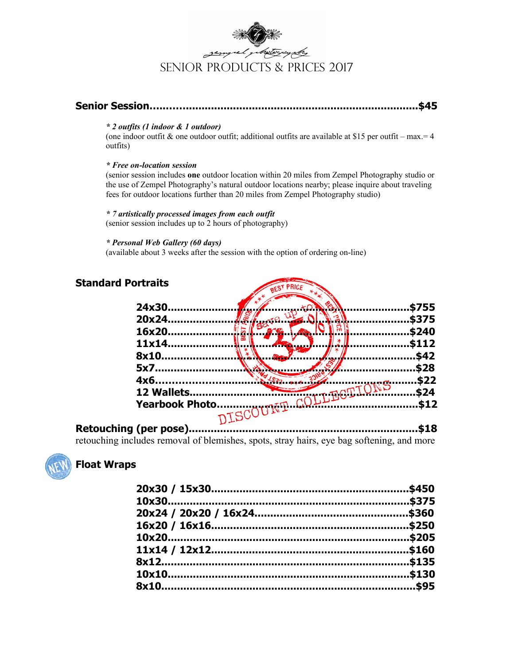

## **Senior Session…..……..........................................................................\$45**

#### *\* 2 outfits (1 indoor & 1 outdoor)*

(one indoor outfit & one outdoor outfit; additional outfits are available at \$15 per outfit – max.  $=$  4 outfits)

#### *\* Free on-location session*

(senior session includes **one** outdoor location within 20 miles from Zempel Photography studio or the use of Zempel Photography's natural outdoor locations nearby; please inquire about traveling fees for outdoor locations further than 20 miles from Zempel Photography studio)

#### *\* 7 artistically processed images from each outfit*

(senior session includes up to 2 hours of photography)

#### *\* Personal Web Gallery (60 days)*

(available about 3 weeks after the session with the option of ordering on-line)

| <b>Standard Portraits</b> |                        |           | PRICE |       |
|---------------------------|------------------------|-----------|-------|-------|
|                           | 24x30.                 |           |       | \$755 |
|                           | 20x24.                 |           |       | \$375 |
|                           | 16x20.                 |           |       | \$240 |
|                           | 11x14.                 | ൶         |       | \$112 |
|                           | 8x10.                  |           |       | \$42  |
|                           | 5x7                    |           |       | \$28  |
|                           | 4x6.                   |           |       | \$22  |
|                           | 12 Wallets             |           |       | \$24  |
|                           | <b>Yearbook Photo.</b> |           | CDM   | \$12  |
| . .                       |                        | DISCOUNT. |       |       |

#### **Retouching (per pose).........................................................................\$18** retouching includes removal of blemishes, spots, stray hairs, eye bag softening, and more



## **Float Wraps**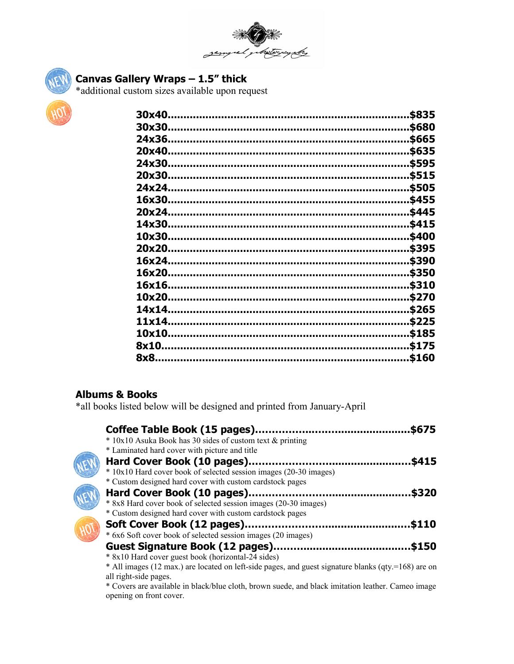



# **Canvas Gallery Wraps – 1.5" thick**

\*additional custom sizes available upon request



|        | \$835 |
|--------|-------|
| 30x30. | \$680 |
| 24x36. | \$665 |
| 20x40. | \$635 |
| 24x30. | \$595 |
| 20x30. | \$515 |
| 24x24. | \$505 |
| 16x30  | \$455 |
| 20x24. | \$445 |
| 14x30. | \$415 |
| 10x30. | \$400 |
|        | \$395 |
| 16x24  | \$390 |
| 16x20. | \$350 |
| 16x16. | \$310 |
| 10x20. | \$270 |
| 14x14. | \$265 |
| 11x14. | \$225 |
| 10x10. | \$185 |
| 8x10   | \$175 |
| 8x8    | \$160 |
|        |       |

# **Albums & Books**

\*all books listed below will be designed and printed from January-April

| Coffee Table Book (15 pages)                                                                                                   | \$675 |
|--------------------------------------------------------------------------------------------------------------------------------|-------|
| * 10x10 Asuka Book has 30 sides of custom text & printing                                                                      |       |
| * Laminated hard cover with picture and title                                                                                  |       |
| Hard Cover Book (10 pages)                                                                                                     | \$415 |
| * 10x10 Hard cover book of selected session images (20-30 images)                                                              |       |
| * Custom designed hard cover with custom cardstock pages                                                                       |       |
| Hard Cover Book (10 pages)                                                                                                     | \$320 |
| * 8x8 Hard cover book of selected session images (20-30 images)                                                                |       |
| * Custom designed hard cover with custom cardstock pages                                                                       |       |
| Soft Cover Book (12 pages).                                                                                                    | \$110 |
| * 6x6 Soft cover book of selected session images (20 images)                                                                   |       |
| <b>Guest Signature Book (12 pages)</b>                                                                                         | \$150 |
| * 8x10 Hard cover guest book (horizontal-24 sides)                                                                             |       |
| $*$ All images (12 max.) are located on left-side pages, and guest signature blanks (qty.=168) are on<br>all right-side pages. |       |

\* Covers are available in black/blue cloth, brown suede, and black imitation leather. Cameo image opening on front cover.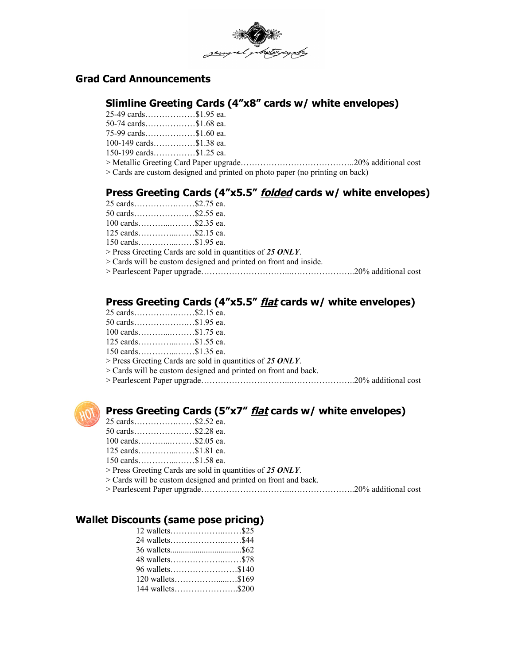

## **Grad Card Announcements**

## **Slimline Greeting Cards (4"x8" cards w/ white envelopes)**

25-49 cards………………\$1.95 ea. 50-74 cards………………\$1.68 ea.

75-99 cards………………\$1.60 ea.

100-149 cards……………\$1.38 ea.

150-199 cards……………\$1.25 ea.

> Metallic Greeting Card Paper upgrade…………………………………..20% additional cost

> Cards are custom designed and printed on photo paper (no printing on back)

# **Press Greeting Cards (4"x5.5" folded cards w/ white envelopes)**

| 25 cards\$2.75 ea.  |                                                                    |  |
|---------------------|--------------------------------------------------------------------|--|
| 50 cards\$2.55 ea.  |                                                                    |  |
| 100 cards\$2.35 ea. |                                                                    |  |
| 125 cards\$2.15 ea. |                                                                    |  |
| 150 cards\$1.95 ea. |                                                                    |  |
|                     | $>$ Press Greeting Cards are sold in quantities of 25 ONLY.        |  |
|                     | $>$ Cards will be custom designed and printed on front and inside. |  |
|                     |                                                                    |  |
|                     |                                                                    |  |

# **Press Greeting Cards (4"x5.5" flat cards w/ white envelopes)**

| 25 cards\$2.15 ea.             |                                                                |  |
|--------------------------------|----------------------------------------------------------------|--|
| 50 cards\$1.95 ea.             |                                                                |  |
| $100 \text{ cards}$ \$1.75 ea. |                                                                |  |
| $125 \text{ cards}$ \$1.55 ea. |                                                                |  |
|                                |                                                                |  |
|                                | $>$ Press Greeting Cards are sold in quantities of 25 ONLY.    |  |
|                                | > Cards will be custom designed and printed on front and back. |  |
|                                |                                                                |  |
|                                |                                                                |  |



# **Press Greeting Cards (5"x7" flat cards w/ white envelopes)**

| 25 cards\$2.52 ea.             |                                                                |  |
|--------------------------------|----------------------------------------------------------------|--|
| 50 cards\$2.28 ea.             |                                                                |  |
| $100 \text{ cards}$ \$2.05 ea. |                                                                |  |
| $125 \text{ cards}$ \$1.81 ea. |                                                                |  |
| 150 cards\$1.58 ea.            |                                                                |  |
|                                | $>$ Press Greeting Cards are sold in quantities of 25 ONLY.    |  |
|                                | > Cards will be custom designed and printed on front and back. |  |
|                                |                                                                |  |
|                                |                                                                |  |

# **Wallet Discounts (same pose pricing)**

| 12 wallets\$25     |  |
|--------------------|--|
|                    |  |
|                    |  |
|                    |  |
| 96 wallets\$140    |  |
| $120$ wallets\$169 |  |
| 144 wallets\$200   |  |